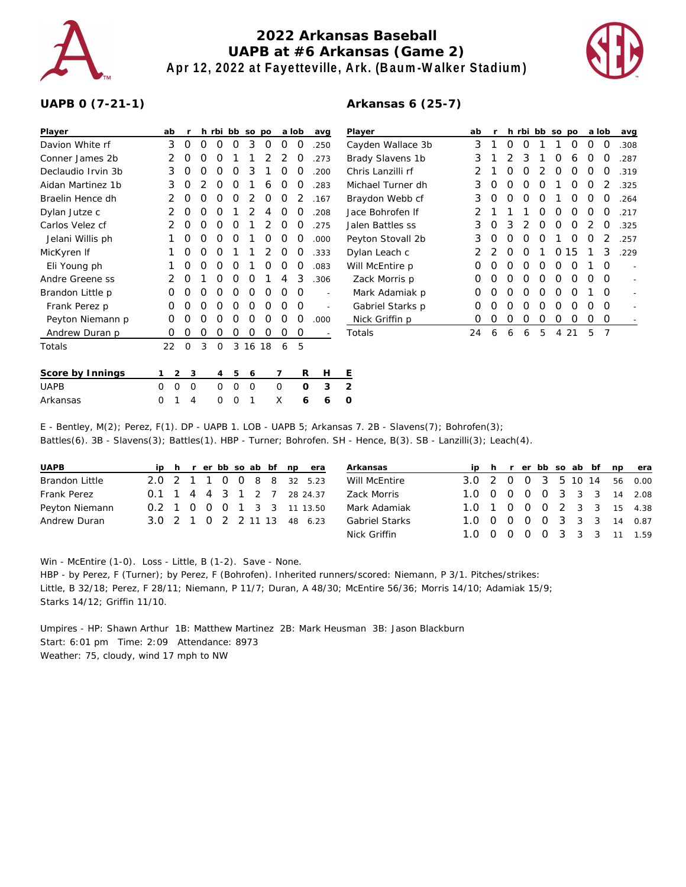

## **2022 Arkansas Baseball UAPB at #6 Arkansas (Game 2) Apr 12, 2022 at Fayetteville, Ark. (Baum-Walker Stadium)**



## **UAPB 0 (7-21-1)**

## **Arkansas 6 (25-7)**

| Player             | ab               |          |          | h rbi bb so po |            |         |            |                  | a lob    | avq            | Player            | ab |   |   |          | h rbi bb so po |                  |    | a lob            |                | avq  |
|--------------------|------------------|----------|----------|----------------|------------|---------|------------|------------------|----------|----------------|-------------------|----|---|---|----------|----------------|------------------|----|------------------|----------------|------|
| Davion White rf    | 3                | 0        | $\Omega$ | $\left($ )     | 0          | 3       | 0          | 0                | O        | .250           | Cayden Wallace 3b | 3  |   | 0 | $\left($ |                |                  | O  | $\left( \right)$ | O              | .308 |
| Conner James 2b    | 2                |          |          |                |            |         |            |                  |          | .273           | Brady Slavens 1b  |    |   |   |          |                |                  | 6  |                  |                | .287 |
| Declaudio Irvin 3b | 3                |          |          |                |            | 3       |            |                  |          | 200            | Chris Lanzilli rf |    |   |   |          |                |                  |    |                  |                | .319 |
| Aidan Martinez 1b  | 3                | $\Omega$ |          |                |            |         | 6          |                  |          | 283            | Michael Turner dh | 3  |   |   |          |                |                  |    |                  |                | .325 |
| Braelin Hence dh   |                  | 0        |          |                | $\left($ ) |         | O          | $\left( \right)$ |          | .167           | Braydon Webb cf   | 3  |   |   |          |                |                  | O  |                  | $\left($       | .264 |
| Dylan Jutze c      | 2                |          |          |                |            |         |            |                  |          | .208           | Jace Bohrofen If  | 2  |   |   |          |                |                  |    |                  |                | .217 |
| Carlos Velez cf    | 2                |          |          |                |            |         |            |                  |          | .275           | Jalen Battles ss  | 3  |   | 3 |          |                |                  |    |                  |                | .325 |
| Jelani Willis ph   |                  |          |          |                | $\Omega$   |         |            |                  |          | .000           | Peyton Stovall 2b | 3  |   |   |          |                |                  |    |                  |                | 257  |
| MicKyren If        |                  | O        |          |                |            |         |            | O                |          | .333           | Dylan Leach c     |    |   |   |          |                | $\left( \right)$ | 15 |                  | 3              | .229 |
| Eli Young ph       |                  |          |          | O              | $\left($ ) |         |            | $\left($         |          | .083           | Will McEntire p   | 0  |   |   |          |                |                  |    |                  | $\Omega$       |      |
| Andre Greene ss    | 2                |          |          |                |            |         |            |                  | 3        | .306           | Zack Morris p     | 0  |   |   |          |                |                  |    |                  | $\Omega$       |      |
| Brandon Little p   | $\Omega$         |          |          |                | ∩          |         |            |                  | 0        | $\overline{a}$ | Mark Adamiak p    | 0  |   |   |          |                |                  |    |                  | $\Omega$       |      |
| Frank Perez p      | 0                |          |          | O              | O          | O       | O          | O                | 0        |                | Gabriel Starks p  | 0  |   |   |          |                | O                |    |                  | $\Omega$       |      |
| Peyton Niemann p   | 0                |          |          |                |            |         | $\left($ ) | $\left($         | $\Omega$ | .000           | Nick Griffin p    | 0  | O | O | O        |                | O                | O  | 0                | 0              |      |
| Andrew Duran p     | 0                |          |          | O              |            | O       | $\Omega$   | 0                | 0        |                | Totals            | 24 | 6 | 6 | 6        | 5              | 4                | 21 | 5                | $\overline{7}$ |      |
| Totals             | 22               | $\Omega$ | 3        | $\Omega$       | 3          | 16 18   |            | 6                | .5       |                |                   |    |   |   |          |                |                  |    |                  |                |      |
| Score by Innings   | 2                | 3        |          | 4              | 5          | 6       |            |                  | R        | Н              | E                 |    |   |   |          |                |                  |    |                  |                |      |
| <b>UAPB</b>        | $\mathbf 0$<br>0 | 0        |          | $\Omega$       | $\Omega$   | $\circ$ |            | 0                | $\Omega$ | 3              | 2                 |    |   |   |          |                |                  |    |                  |                |      |
| Arkansas           | 0                | 4        |          | Ω              | O          |         |            | X                | 6        | 6              | O                 |    |   |   |          |                |                  |    |                  |                |      |

E - Bentley, M(2); Perez, F(1). DP - UAPB 1. LOB - UAPB 5; Arkansas 7. 2B - Slavens(7); Bohrofen(3); Battles(6). 3B - Slavens(3); Battles(1). HBP - Turner; Bohrofen. SH - Hence, B(3). SB - Lanzilli(3); Leach(4).

| <b>UAPB</b>    |  |  |  |  | ip h r er bb so ab bf np era | Arkansas              |  |  |  |  | ip h r er bb so ab bf np era |
|----------------|--|--|--|--|------------------------------|-----------------------|--|--|--|--|------------------------------|
| Brandon Little |  |  |  |  | 2.0 2 1 1 0 0 8 8 32 5.23    | Will McEntire         |  |  |  |  | 3.0 2 0 0 3 5 10 14 56 0.00  |
| Frank Perez    |  |  |  |  | 0.1 1 4 4 3 1 2 7 28 24.37   | Zack Morris           |  |  |  |  | 1.0 0 0 0 0 3 3 3 14 2.08    |
| Peyton Niemann |  |  |  |  | 0.2 1 0 0 0 1 3 3 11 13.50   | Mark Adamiak          |  |  |  |  | 1.0 1 0 0 0 2 3 3 15 4.38    |
| Andrew Duran   |  |  |  |  | 3.0 2 1 0 2 2 11 13 48 6.23  | <b>Gabriel Starks</b> |  |  |  |  | 1.0 0 0 0 0 3 3 3 14 0.87    |
|                |  |  |  |  |                              | Nick Griffin          |  |  |  |  | 1.0 0 0 0 0 3 3 3 11 1.59    |

Win - McEntire (1-0). Loss - Little, B (1-2). Save - None.

HBP - by Perez, F (Turner); by Perez, F (Bohrofen). Inherited runners/scored: Niemann, P 3/1. Pitches/strikes: Little, B 32/18; Perez, F 28/11; Niemann, P 11/7; Duran, A 48/30; McEntire 56/36; Morris 14/10; Adamiak 15/9; Starks 14/12; Griffin 11/10.

Umpires - HP: Shawn Arthur 1B: Matthew Martinez 2B: Mark Heusman 3B: Jason Blackburn Start: 6:01 pm Time: 2:09 Attendance: 8973 Weather: 75, cloudy, wind 17 mph to NW